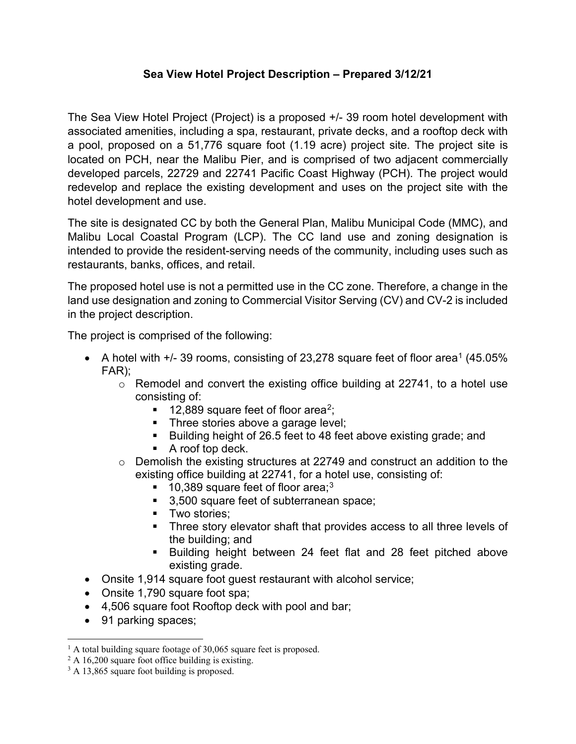## **Sea View Hotel Project Description – Prepared 3/12/21**

The Sea View Hotel Project (Project) is a proposed +/- 39 room hotel development with associated amenities, including a spa, restaurant, private decks, and a rooftop deck with a pool, proposed on a 51,776 square foot (1.19 acre) project site. The project site is located on PCH, near the Malibu Pier, and is comprised of two adjacent commercially developed parcels, 22729 and 22741 Pacific Coast Highway (PCH). The project would redevelop and replace the existing development and uses on the project site with the hotel development and use.

The site is designated CC by both the General Plan, Malibu Municipal Code (MMC), and Malibu Local Coastal Program (LCP). The CC land use and zoning designation is intended to provide the resident-serving needs of the community, including uses such as restaurants, banks, offices, and retail.

The proposed hotel use is not a permitted use in the CC zone. Therefore, a change in the land use designation and zoning to Commercial Visitor Serving (CV) and CV-2 is included in the project description.

The project is comprised of the following:

- A hotel with  $+/-$  39 rooms, consisting of 23,278 square feet of floor area<sup>[1](#page-0-0)</sup> (45.05%) FAR);
	- o Remodel and convert the existing office building at 22741, to a hotel use consisting of:
		- $\blacksquare$  1[2](#page-0-1),889 square feet of floor area<sup>2</sup>;
		- Three stories above a garage level;
		- Building height of 26.5 feet to 48 feet above existing grade; and
		- A roof top deck.
	- $\circ$  Demolish the existing structures at 22749 and construct an addition to the existing office building at 22741, for a hotel use, consisting of:
		- $\blacksquare$  10,[3](#page-0-2)89 square feet of floor area;<sup>3</sup>
		- 3,500 square feet of subterranean space;
		- **Two stories:**
		- **Three story elevator shaft that provides access to all three levels of** the building; and
		- **Building height between 24 feet flat and 28 feet pitched above** existing grade.
- Onsite 1,914 square foot guest restaurant with alcohol service;
- Onsite 1,790 square foot spa;
- 4,506 square foot Rooftop deck with pool and bar;
- 91 parking spaces;

<span id="page-0-0"></span> $<sup>1</sup>$  A total building square footage of 30,065 square feet is proposed.</sup>

<span id="page-0-1"></span> $2 A 16,200$  square foot office building is existing.

<span id="page-0-2"></span><sup>&</sup>lt;sup>3</sup> A 13,865 square foot building is proposed.